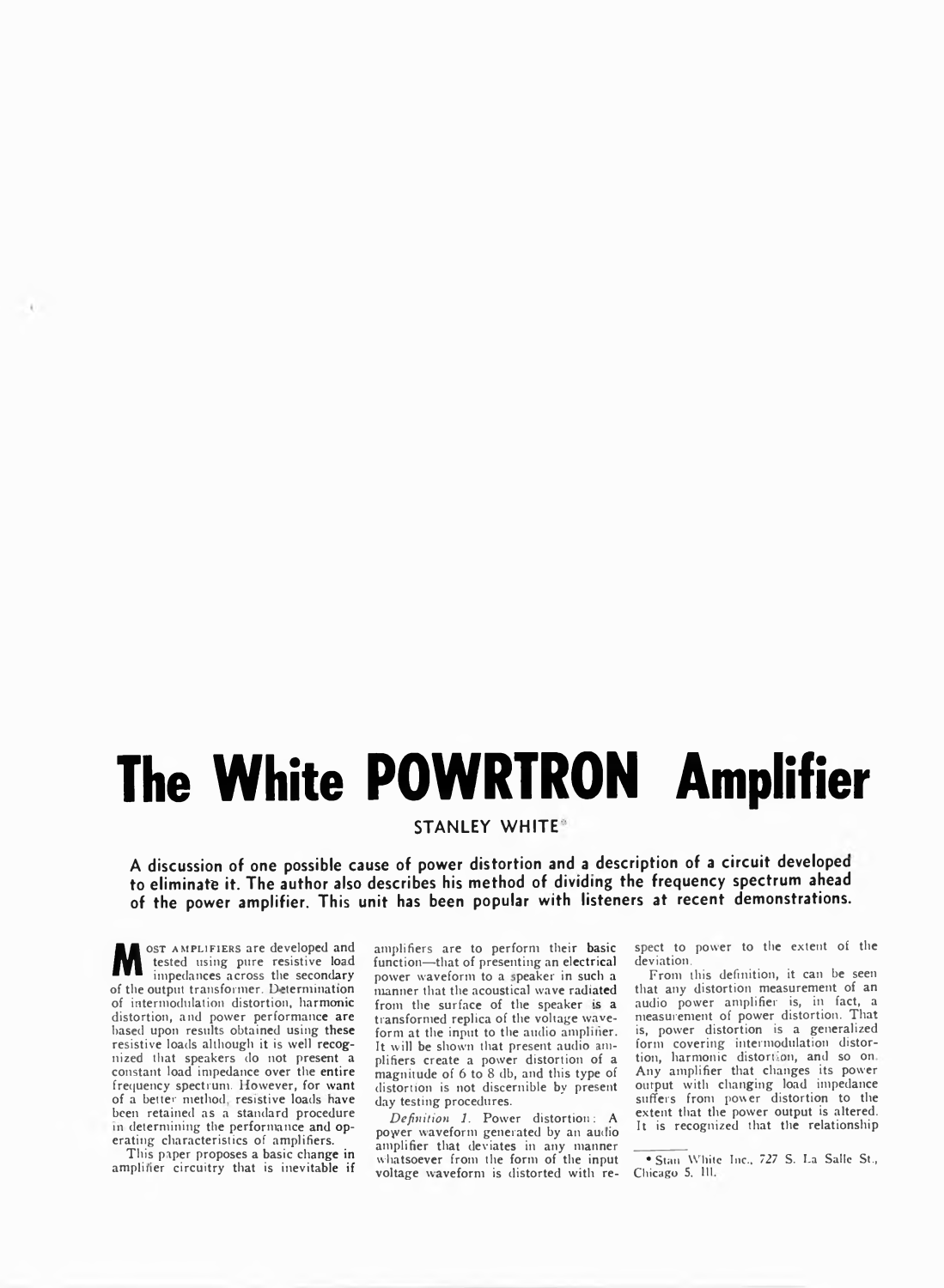# The White POWRTRON Amplifier

**STANLEY WHITE** 

**A discussion of one possible cause of power distortion and a description of a circuit developed to eliminate it. The author also describes his method of dividing the frequency spectrum ahead of the power amplifier. This unit has been popular with listeners at recent demonstrations.**

**M** ost AMPLIFIERS are developed and<br>tested using pure resistive load<br>of the suitaut transformer. Determining ost AMPLIFIERS are developed and **impedances across the secondary of the output transformer. Determination of intermodulation distortion, harmonic distortion, and power performance are based upon results obtained using these resistive loads although it is well recognized that speakers do not present a constant load impedance over the entire frequency spectrum. However, for want** of a better method, resistive loads have **been retained as a standard procedure** in determining the performance and op**erating characteristics of amplifiers.**

 $\mathbf{L}$ 

**This paper proposes a basic change in** amplifier circuitry that is inevitable if

**amplifiers are to perform their basic function—that of presenting an electrical power waveform to a ;peaker in such a manner that the acoustical wave radiated** from the surface of the speaker is a **transformed replica of the voltage waveform at the input to the audio ampliiier. It will be shown that present audio amplifiers create a power distortion of a magnitude of 6 to 8 db, and this type of distortion is not discernible by present day testing procedures.**

*Definition 1.* **Power distortion: A poyver waveform generated by an audio amplifier that deviates in any manner whatsoever from the form of the input voltage waveform is distorted with re-** **spect to power to the extent of the deviation.**

**From this definition, it can be seen that any distortion measurement of an audio power amplifier is, in fact, a measurement of power distortion. That is, power distortion is a generalized form covering intermcdulation distortion, harmonic distort: )n, and so on Any amplifier that changes its power output with changing load impedance suffers from power distortion to the extent that the power output is altered.** It is recognized that the relationship

<sup>\*</sup> Stan White Inc., 727 S. La Salle St., Chicago 5, 111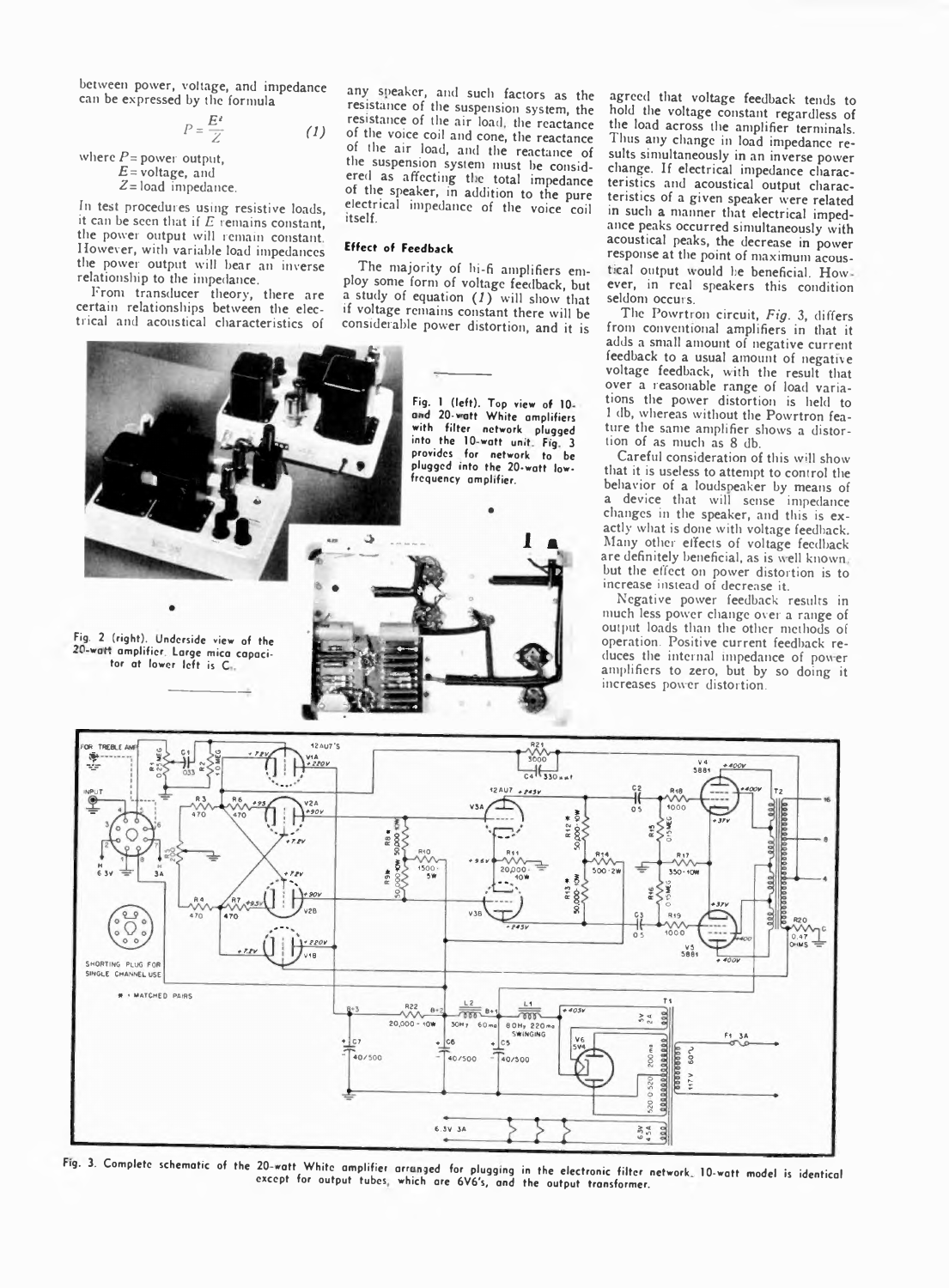**between power, voltage, and impedance can be expressed by the formula**

$$
P = \frac{E^2}{Z} \tag{1}
$$

**where** *P=* **power output,** *E=* **voltage, and £=load impedance.**

**in test procedures using resistive loads, it can be seen that if** *E* **remains constant, the power output will remain constant However, with variable load impedances the power output will bear an inverse relationship to the impedance.**

**Front transducer theory, there are certain relationships between the electrical and acoustical characteristics of**

any speaker, and such factors as the **resistance of the suspension system, the** resistance of the air load, the reactance **of the voice coil and cone, the reactance of the air load, and the reactance of the suspension system must be considered as affecting tl.e total impedance of the speaker, in addition to the pure electrical impedance of the voice coil itself.**

### **Effect of Feedback**

**The majority of hi-fi amplifiers employ some form of voltage feedback, but a study of equation (** *1***) will show that if voltage remains constant there will be considerable power distortion, and it is**



**agreed that voltage feedback tends to hold the voltage constant regardless of the load across the amplifier terminals. Thus any change in load impedance results simultaneously in an inverse power change. If electrical impedance characteristics and acoustical output characteristics of a given speaker were related in such a manner that electrical impedance peaks occurred simultaneously with acoustical peaks, the decrease in power response at the point of maximum acous**tical output would be beneficial. How**ever, in real speakers this condition seldom occurs.**

**The Powrtron circuit,** *Fig.* **3, differs from conventional amplifiers in that it adds a small amount of negative current feedback to a usual amount of negative voltage feedback, with the result that over a reasonable range of load variations the power distortion is held to 1 db, whereas without the Powrtron feature the same amplifier shows a distortion of as much as 8 db.**

**Careful consideration of this will show that it is useless to attempt to control the behavior of a loudsneaker by means of a device that will sense impedance changes in the speaker, and this is exactly what is done with voltage feedback. Many other effects of voltage feedback** are definitely beneficial, as is well known. **but the effect on power distortion is to increase instead of decrease it.**

**Negative power feedback results in much less power change over a range of output loads than the other methods of operation. Positive current feedback reduces the internal impedance of power amplifiers to zero, but by so doing it increases power distortion.**



Fig. 3. Complete schematic of the 20-waft, White amplifier arranged for plugging in the electronic filter network. 10-watt model is identical except for output tubes, which are 6V6's, and the output transformer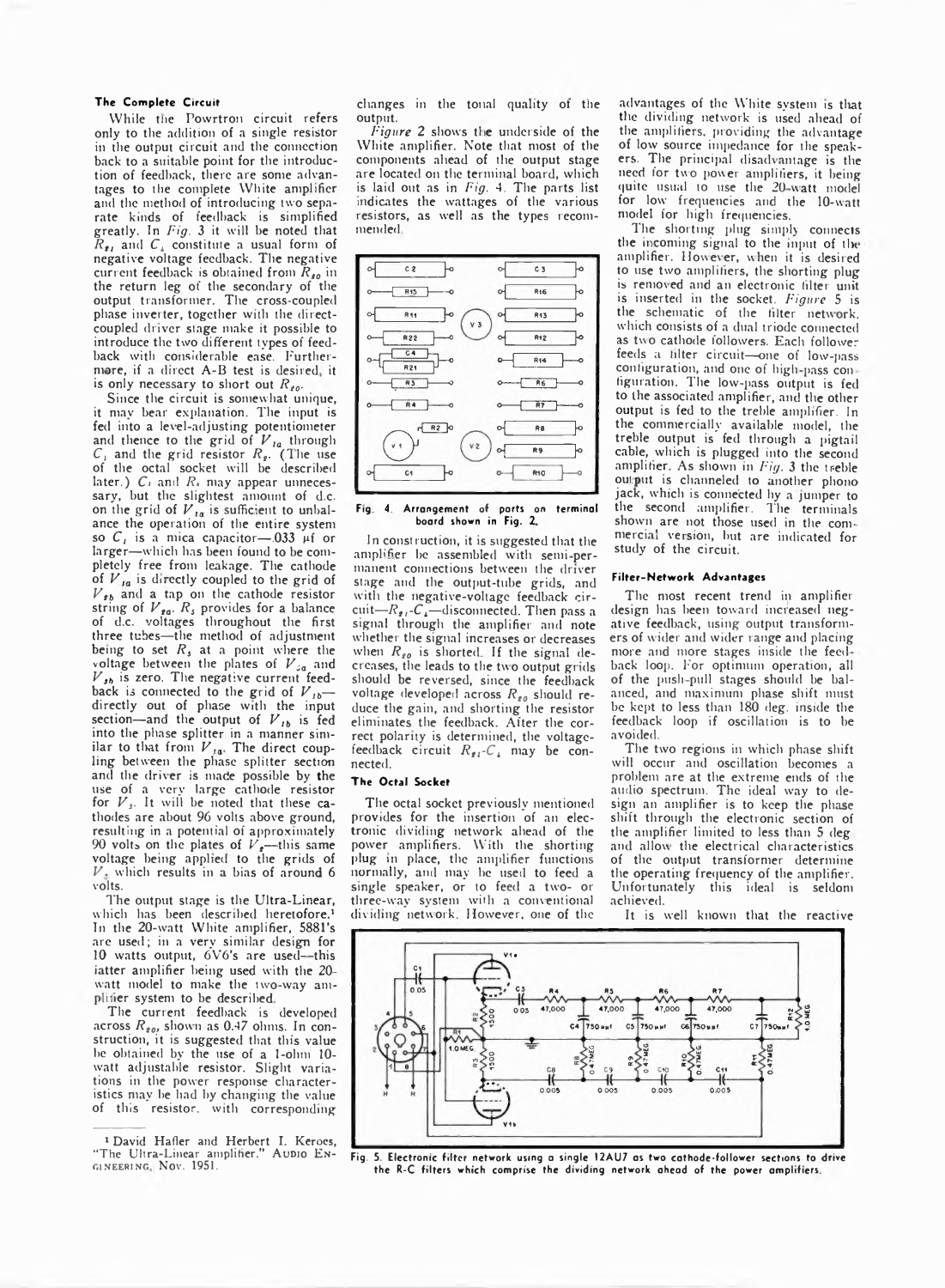#### The Complete Circuit

**While tlie Powrtron circuit refers only to the addition of a single resistor in the output circuit and the connection back to a suitable point for the introduction of feedback, there are some advan**tages to the complete White amplifier **and the method of introducing two separate kinds of feedback is simplified greatly. In** *Fig.* **3 it will be noted that** *R,,* **and** *Ci* **constitute a usual form of negative voltage feedback. The negative current feedback is obtained from**  $R_{10}$  **in the return leg ot the secondary of the output transformer. The cross-coupled phase inverter, together with the directcoupled driver stage make it possible to introduce the two different types of feedback with considerable ease. Further**more, if a direct A-B test is desired, it is only necessary to short out  $R_{10}$ .

**Since the circuit is somewhat unique, it may bear explanation. The input is fed into a level-adjusting potentiometer** and thence to the grid of  $V_{Ia}$  through  $C_1$  and the grid resistor  $R_2$ . (The use **of the octal socket will be described** later.)  $C_1$  and  $R_2$  may appear unneces**sary, but the slightest amount of d.c.** on the grid of  $V_{1a}$  is sufficient to unbal**ance the operation of the entire system** so  $C_i$  is a mica capacitor – 033  $\mu$ f or **larger—which has been found to be completely free from leakage. The cathode** of  $V_{Ia}$  is directly coupled to the grid of *V tb* **and a tap on the cathode resistor** string of  $V_{\text{ga}}$ .  $R_s$  provides for a balance **of d.c. voltages throughout the first three tubes—the method of adjustment being to set** *R s* **at a point where the voltage between the plates of** *V 3a* **and** *V 3b* **is zero. The negative current feed**back is connected to the grid of  $V_{1b}$  **directly out of phase with the input section—and the output of** *V ,b* **is fed into the phase splitter in a manner sim**ilar to that from  $V_{Ia}$ . The direct coup**ling between the phase splitter section** and the driver is made possible by the **use of a very large cathode resistor for** *V s.* **It will be noted that these cathodes are about 96 volts above ground, resulting in a potential of approximately 90 volts on the plates of** *V***,—this same voltage being applied to the grids of** *V .* **which results in a bias of around 6 volts.**

**The output stage is the Ultra-Linear, which has been described heretofore.' In the 20-watt White amplifier, 5881's are used; in a very similar design for 10 watts output, 6V6's are used--this iatter amplifier being used with the 2C watt model to make the two-way am**plifier system to be described.

**The current feedback is developed** across  $R_{20}$ , shown as 0.47 ohms. In con**struction, it is suggested that this value be obtained by the use of a 1-ohni 10 watt adjustable resistor. Slight variations in the power response characteristics may be had by changing the value of this resistor, with corresponding**

**changes in the tonal quality ot the output.**

Figure 2 shows the underside of the **White amplifier. Note that most of the components ahead of the output stage are located on the terminal board, which is laid out as in** *Fig.* **4, The parts list** indicates the wattages of the various **resistors, as well as the types recommended**



**Fig 4 Arrangement of parts on terminal boerd shown in Fig. 7.**

**In construction, it is suggested that the** amplifier be assembled with semi-per**manent connections between the driver stage and the output-tube grids, and with the negative-voltage feedback cir-** $\text{cuit}$ *-R<sub>ti</sub>*-*C*<sub>4</sub><sup>-</sup>-disconnected. Then pass a **signal through the amplifier and note whether the signal increases or decreases** when  $R_{g0}$  is shorted. If the signal decreases, the leads to the two output grids **should be reversed, since the feedback** voltage developed across  $R_{\text{go}}$  should re**duce the gain, and shorting the resistor eliminates the feedback. After the correct polarity is determined, the voltage**feedback circuit  $R_{2i}$ - $C_i$  may be con**nected.**

## **The Octal Socket**

**The octal socket previously mentioned provides for the insertion of an electronic dividing network ahead of the power amplifiers. With the shorting plug in place, the amplifier functions normally, and may be used to feed a single speaker, or to feed a two- or three-way system with a conventional** dividing network. However, one of the

**advantages of the White system is that the dividing network is used ahead of the amplifiers, providing the advantage of low source impedance for the speakers. The principal disadvantage is the need for two power amplifiers, it being quite usual to use the 20 watt model for low frequencies and the 10-watt model for high frequencies.**

**The shorting plug simply connects** the incoming signal to the input of the **amplifier. However, when it is desired to use two amplifiers, the shorting plug is removed and an electronic filter unit is inserted in the socket.** *Figure* **5 is the schematic of the filter network, which consists of a dual triode connected as two cathode followers. Each follower feeds a filter circuit—one of low-pass** configuration, and one of high-pass con**figuration. The low-pass output is fed to the associated amplifier, and the other output is fed to the treble amplifier. In the commercially available model, the treble output is fed through a pigtail cable, which is plugged into the second amplifier. As shown in** *Fig.* **3 the treble** out put is channeled to another phono **jack, which is connected hy a jumper to the second amplifier. The terminals shown are not those used in the com**mercial version, but are indicated for **study of the circuit.**

#### **Filter-Network Advantages**

**The most recent trend in amplifier design has been toward increased negative feedback, using output transformers of w ider and wider range and placing more and more stages inside the feed back loop. For optimum operation, all of the push pull stages should be balanced, and maximum phase shift must be kept to less than 180 deg. inside the feedback loop if oscillation is to be avoided.**

**The two regions in which phase shift will occur and oscillation becomes a problem are at the extreme ends of the audio spectrum. The ideal way to design an amplifier is to keep the phase shift through the electronic section of the amplifier limited to less than 5 deg and allow the electrical characteristics of the output transformer determine the operating frequency of the amplifier. Unfortunately this ideal is seldom achieved.**

**It is well known that the reactive**



**Fig. 5. Electronic filter network using a single I2AU7 as two cathode-follower sections to drive the** R-C **filters which comprise the dividing network ahead of the power amplifiers**

<sup>&</sup>lt;sup>1</sup> David Hafler and Herbert I. Keroes, "The Ultra-Linear amplifier." AUDIO ENgineering Nov. 1951.